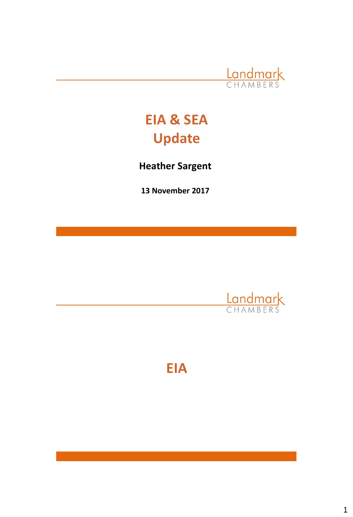

# **EIA & SEA Update**

**Heather Sargent**

**13 November 2017**



**EIA**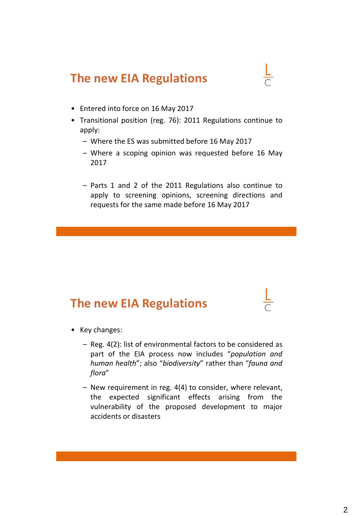### **The new EIA Regulations**

- Entered into force on 16 May 2017
- Transitional position (reg. 76): 2011 Regulations continue to apply:
	- Where the ES was submitted before 16 May 2017
	- Where a scoping opinion was requested before 16 May 2017
	- Parts 1 and 2 of the 2011 Regulations also continue to apply to screening opinions, screening directions and requests for the same made before 16 May 2017

### **The new EIA Regulations**

- Key changes:
	- Reg. 4(2): list of environmental factors to be considered as part of the EIA process now includes "*population and human health*"; also "*biodiversity*" rather than "*fauna and flora*"
	- New requirement in reg. 4(4) to consider, where relevant, the expected significant effects arising from the vulnerability of the proposed development to major accidents or disasters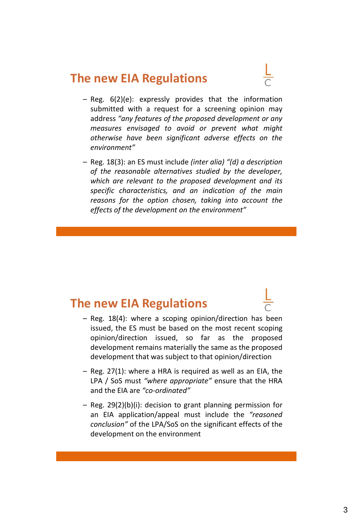### **The new EIA Regulations**

- Reg. 6(2)(e): expressly provides that the information submitted with a request for a screening opinion may address *"any features of the proposed development or any measures envisaged to avoid or prevent what might otherwise have been significant adverse effects on the environment"*
- Reg. 18(3): an ES must include *(inter alia) "(d) a description of the reasonable alternatives studied by the developer, which are relevant to the proposed development and its specific characteristics, and an indication of the main reasons for the option chosen, taking into account the effects of the development on the environment"*

### **The new EIA Regulations**

- Reg. 18(4): where a scoping opinion/direction has been issued, the ES must be based on the most recent scoping opinion/direction issued, so far as the proposed development remains materially the same as the proposed development that was subject to that opinion/direction
- Reg. 27(1): where a HRA is required as well as an EIA, the LPA / SoS must *"where appropriate"* ensure that the HRA and the EIA are *"co-ordinated"*
- Reg. 29(2)(b)(i): decision to grant planning permission for an EIA application/appeal must include the *"reasoned conclusion"* of the LPA/SoS on the significant effects of the development on the environment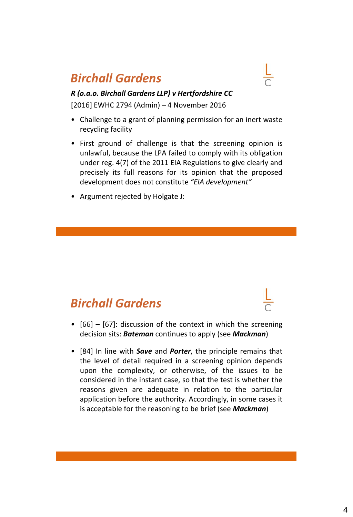## *Birchall Gardens*



*R (o.a.o. Birchall Gardens LLP) v Hertfordshire CC* [2016] EWHC 2794 (Admin) – 4 November 2016

- Challenge to a grant of planning permission for an inert waste recycling facility
- First ground of challenge is that the screening opinion is unlawful, because the LPA failed to comply with its obligation under reg. 4(7) of the 2011 EIA Regulations to give clearly and precisely its full reasons for its opinion that the proposed development does not constitute *"EIA development"*
- Argument rejected by Holgate J:

### *Birchall Gardens*

- [66] [67]: discussion of the context in which the screening decision sits: *Bateman* continues to apply (see *Mackman*)
- [84] In line with *Save* and *Porter*, the principle remains that the level of detail required in a screening opinion depends upon the complexity, or otherwise, of the issues to be considered in the instant case, so that the test is whether the reasons given are adequate in relation to the particular application before the authority. Accordingly, in some cases it is acceptable for the reasoning to be brief (see *Mackman*)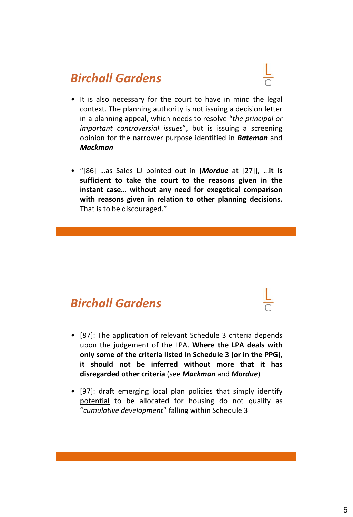## *Birchall Gardens*

- It is also necessary for the court to have in mind the legal context. The planning authority is not issuing a decision letter in a planning appeal, which needs to resolve "*the principal or important controversial issue*s", but is issuing a screening opinion for the narrower purpose identified in *Bateman* and *Mackman*
- "[86] …as Sales LJ pointed out in [*Mordue* at [27]], …**it is sufficient to take the court to the reasons given in the instant case… without any need for exegetical comparison with reasons given in relation to other planning decisions.** That is to be discouraged."

### *Birchall Gardens*

- [87]: The application of relevant Schedule 3 criteria depends upon the judgement of the LPA. **Where the LPA deals with only some of the criteria listed in Schedule 3 (or in the PPG), it should not be inferred without more that it has disregarded other criteria** (see *Mackman* and *Mordue*)
- [97]: draft emerging local plan policies that simply identify potential to be allocated for housing do not qualify as "*cumulative development*" falling within Schedule 3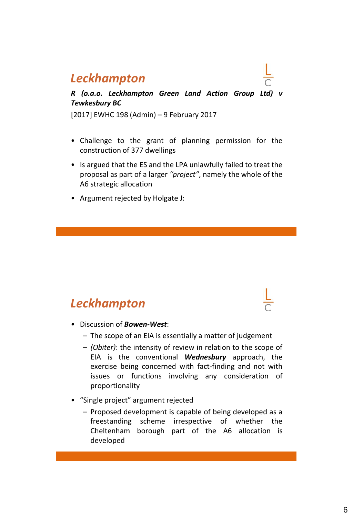### *Leckhampton*

#### *R (o.a.o. Leckhampton Green Land Action Group Ltd) v Tewkesbury BC*

[2017] EWHC 198 (Admin) – 9 February 2017

- Challenge to the grant of planning permission for the construction of 377 dwellings
- Is argued that the ES and the LPA unlawfully failed to treat the proposal as part of a larger *"project"*, namely the whole of the A6 strategic allocation
- Argument rejected by Holgate J:

### *Leckhampton*

- Discussion of *Bowen-West*:
	- The scope of an EIA is essentially a matter of judgement
	- *(Obiter)*: the intensity of review in relation to the scope of EIA is the conventional *Wednesbury* approach, the exercise being concerned with fact-finding and not with issues or functions involving any consideration of proportionality
- "Single project" argument rejected
	- Proposed development is capable of being developed as a freestanding scheme irrespective of whether the Cheltenham borough part of the A6 allocation is developed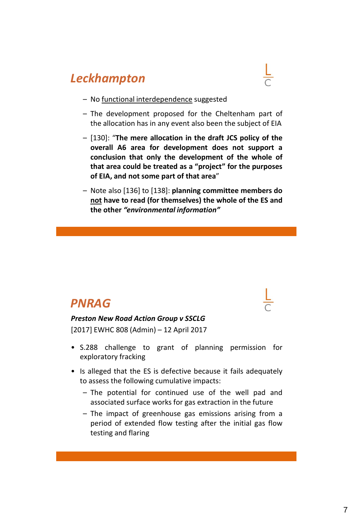### *Leckhampton*

- 
- No functional interdependence suggested
- The development proposed for the Cheltenham part of the allocation has in any event also been the subject of EIA
- [130]: "**The mere allocation in the draft JCS policy of the overall A6 area for development does not support a conclusion that only the development of the whole of that area could be treated as a "project" for the purposes of EIA, and not some part of that area**"
- Note also [136] to [138]: **planning committee members do not have to read (for themselves) the whole of the ES and the other** *"environmental information"*

### *PNRAG*

### *Preston New Road Action Group v SSCLG*

[2017] EWHC 808 (Admin) – 12 April 2017

- S.288 challenge to grant of planning permission for exploratory fracking
- Is alleged that the ES is defective because it fails adequately to assess the following cumulative impacts:
	- The potential for continued use of the well pad and associated surface works for gas extraction in the future
	- The impact of greenhouse gas emissions arising from a period of extended flow testing after the initial gas flow testing and flaring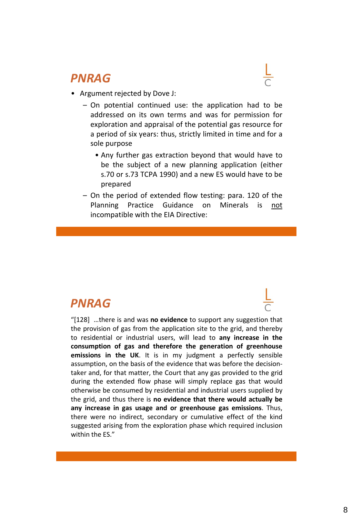### *PNRAG*

- Argument rejected by Dove J:
	- On potential continued use: the application had to be addressed on its own terms and was for permission for exploration and appraisal of the potential gas resource for a period of six years: thus, strictly limited in time and for a sole purpose
		- Any further gas extraction beyond that would have to be the subject of a new planning application (either s.70 or s.73 TCPA 1990) and a new ES would have to be prepared
	- On the period of extended flow testing: para. 120 of the Planning Practice Guidance on Minerals is not incompatible with the EIA Directive:

### *PNRAG*

"[128] …there is and was **no evidence** to support any suggestion that the provision of gas from the application site to the grid, and thereby to residential or industrial users, will lead to **any increase in the consumption of gas and therefore the generation of greenhouse emissions in the UK**. It is in my judgment a perfectly sensible assumption, on the basis of the evidence that was before the decisiontaker and, for that matter, the Court that any gas provided to the grid during the extended flow phase will simply replace gas that would otherwise be consumed by residential and industrial users supplied by the grid, and thus there is **no evidence that there would actually be any increase in gas usage and or greenhouse gas emissions**. Thus, there were no indirect, secondary or cumulative effect of the kind suggested arising from the exploration phase which required inclusion within the ES."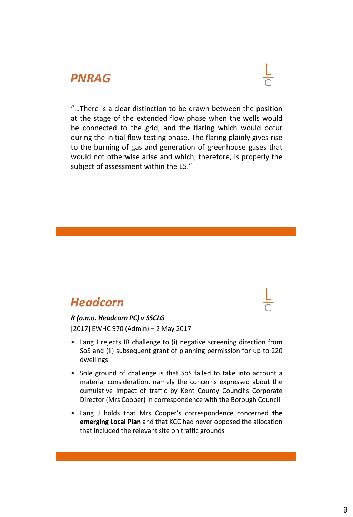### *PNRAG*



"…There is a clear distinction to be drawn between the position at the stage of the extended flow phase when the wells would be connected to the grid, and the flaring which would occur during the initial flow testing phase. The flaring plainly gives rise to the burning of gas and generation of greenhouse gases that would not otherwise arise and which, therefore, is properly the subject of assessment within the ES."

### *Headcorn*

#### *R (o.a.o. Headcorn PC) v SSCLG*

[2017] EWHC 970 (Admin) – 2 May 2017

- Lang J rejects JR challenge to (i) negative screening direction from SoS and (ii) subsequent grant of planning permission for up to 220 dwellings
- Sole ground of challenge is that SoS failed to take into account a material consideration, namely the concerns expressed about the cumulative impact of traffic by Kent County Council's Corporate Director (Mrs Cooper) in correspondence with the Borough Council
- Lang J holds that Mrs Cooper's correspondence concerned **the emerging Local Plan** and that KCC had never opposed the allocation that included the relevant site on traffic grounds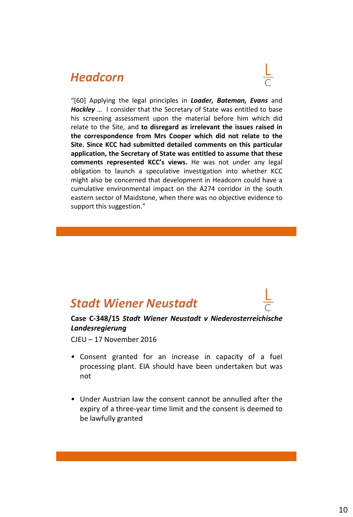### *Headcorn*



"[60] Applying the legal principles in *Loader, Bateman, Evans* and *Hockley* … I consider that the Secretary of State was entitled to base his screening assessment upon the material before him which did relate to the Site, and **to disregard as irrelevant the issues raised in the correspondence from Mrs Cooper which did not relate to the Site. Since KCC had submitted detailed comments on this particular application, the Secretary of State was entitled to assume that these comments represented KCC's views.** He was not under any legal obligation to launch a speculative investigation into whether KCC might also be concerned that development in Headcorn could have a cumulative environmental impact on the A274 corridor in the south eastern sector of Maidstone, when there was no objective evidence to support this suggestion."

### *Stadt Wiener Neustadt*

#### **Case C-348/15** *Stadt Wiener Neustadt v Niederosterreichische Landesregierung*

CJEU – 17 November 2016

- Consent granted for an increase in capacity of a fuel processing plant. EIA should have been undertaken but was not
- Under Austrian law the consent cannot be annulled after the expiry of a three-year time limit and the consent is deemed to be lawfully granted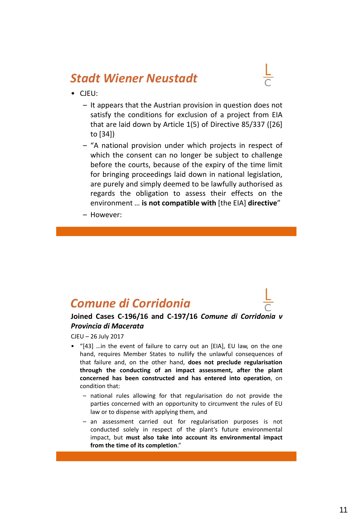### *Stadt Wiener Neustadt*

- CJEU:
	- It appears that the Austrian provision in question does not satisfy the conditions for exclusion of a project from EIA that are laid down by Article 1(5) of Directive 85/337 ([26] to [34])
	- "A national provision under which projects in respect of which the consent can no longer be subject to challenge before the courts, because of the expiry of the time limit for bringing proceedings laid down in national legislation, are purely and simply deemed to be lawfully authorised as regards the obligation to assess their effects on the environment … **is not compatible with** [the EIA] **directive**"
	- However:

### *Comune di Corridonia*



CJEU – 26 July 2017

- "[43] …in the event of failure to carry out an [EIA], EU law, on the one hand, requires Member States to nullify the unlawful consequences of that failure and, on the other hand, **does not preclude regularisation through the conducting of an impact assessment, after the plant concerned has been constructed and has entered into operation**, on condition that:
	- national rules allowing for that regularisation do not provide the parties concerned with an opportunity to circumvent the rules of EU law or to dispense with applying them, and
	- an assessment carried out for regularisation purposes is not conducted solely in respect of the plant's future environmental impact, but **must also take into account its environmental impact from the time of its completion**."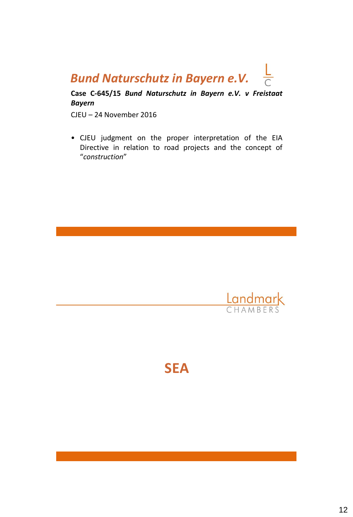### $\frac{L}{C}$ *Bund Naturschutz in Bayern e.V.*

**Case C-645/15** *Bund Naturschutz in Bayern e.V. v Freistaat Bayern*

CJEU – 24 November 2016

• CJEU judgment on the proper interpretation of the EIA Directive in relation to road projects and the concept of "*construction*"



**SEA**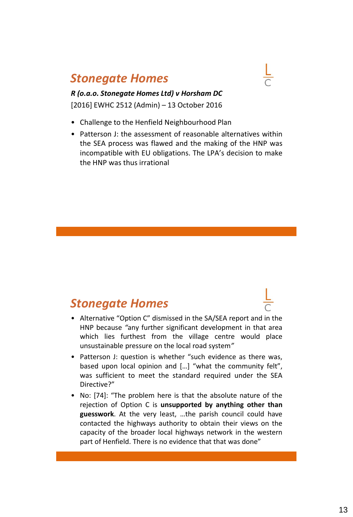### *Stonegate Homes*

*R (o.a.o. Stonegate Homes Ltd) v Horsham DC* [2016] EWHC 2512 (Admin) – 13 October 2016

- Challenge to the Henfield Neighbourhood Plan
- Patterson J: the assessment of reasonable alternatives within the SEA process was flawed and the making of the HNP was incompatible with EU obligations. The LPA's decision to make the HNP was thus irrational

### *Stonegate Homes*

- Alternative "Option C" dismissed in the SA/SEA report and in the HNP because *"*any further significant development in that area which lies furthest from the village centre would place unsustainable pressure on the local road system*"*
- Patterson J: question is whether "such evidence as there was, based upon local opinion and […] "what the community felt", was sufficient to meet the standard required under the SEA Directive?"
- No: [74]: "The problem here is that the absolute nature of the rejection of Option C is **unsupported by anything other than guesswork**. At the very least, …the parish council could have contacted the highways authority to obtain their views on the capacity of the broader local highways network in the western part of Henfield. There is no evidence that that was done"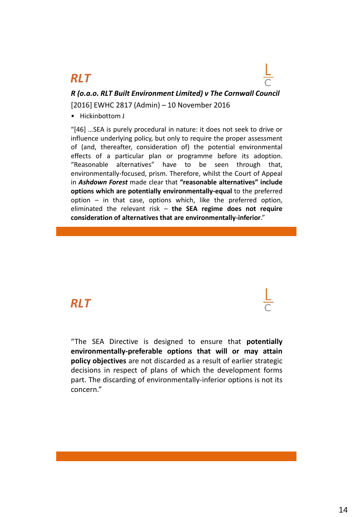### *RLT*

*R (o.a.o. RLT Built Environment Limited) v The Cornwall Council* [2016] EWHC 2817 (Admin) – 10 November 2016

• Hickinbottom J

"[46] …SEA is purely procedural in nature: it does not seek to drive or influence underlying policy, but only to require the proper assessment of (and, thereafter, consideration of) the potential environmental effects of a particular plan or programme before its adoption. "Reasonable alternatives" have to be seen through that, environmentally-focused, prism. Therefore, whilst the Court of Appeal in *Ashdown Forest* made clear that **"reasonable alternatives" include options which are potentially environmentally-equal** to the preferred option – in that case, options which, like the preferred option, eliminated the relevant risk – **the SEA regime does not require consideration of alternatives that are environmentally-inferior**."

### *RLT*

"The SEA Directive is designed to ensure that **potentially environmentally-preferable options that will or may attain policy objectives** are not discarded as a result of earlier strategic decisions in respect of plans of which the development forms part. The discarding of environmentally-inferior options is not its concern."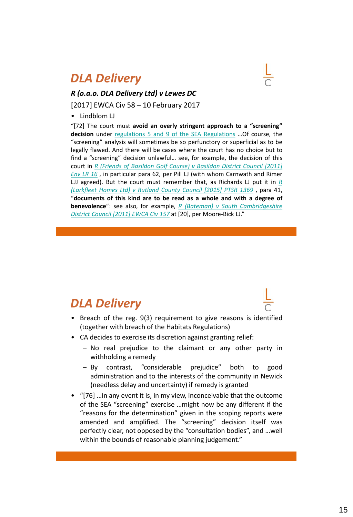### *DLA Delivery*



### *R (o.a.o. DLA Delivery Ltd) v Lewes DC*

[2017] EWCA Civ 58 – 10 February 2017

• Lindblom LJ

"[72] The court must **avoid an overly stringent approach to a "screening" decision** under regulations 5 and 9 of the SEA [Regulations](https://login.westlaw.co.uk/maf/wluk/app/document?src=doc&linktype=ref&context=55&crumb-action=replace&docguid=I0A9C39C0E45311DA8D70A0E70A78ED65) …Of course, the "screening" analysis will sometimes be so perfunctory or superficial as to be legally flawed. And there will be cases where the court has no choice but to find a "screening" decision unlawful… see, for example, the decision of this court in *R (Friends of Basildon Golf Course) v Basildon District Council [2011] Env LR 16* , in [particular](https://login.westlaw.co.uk/maf/wluk/app/document?src=doc&linktype=ref&context=55&crumb-action=replace&docguid=I8A59143007DF11E0A0BFB90D2A6E5993) para 62, per Pill LJ (with whom Carnwath and Rimer LJJ agreed). But the court must [remember](https://login.westlaw.co.uk/maf/wluk/app/document?src=doc&linktype=ref&context=55&crumb-action=replace&docguid=I20FE72A0150E11E590D3EAD923C2C0BE) that, as Richards LJ put it in *R (Larkfleet Homes Ltd) v Rutland County Council [2015] PTSR 1369* , para 41, "**documents of this kind are to be read as a whole and with a degree of benevolence**": see also, for example, *R (Bateman) v South [Cambridgeshire](https://login.westlaw.co.uk/maf/wluk/app/document?src=doc&linktype=ref&context=55&crumb-action=replace&docguid=ID3C93EE03EE111E0875CA3B9E6A6A242) District Council [2011] EWCA Civ 157* at [20], per Moore-Bick LJ."

### *DLA Delivery*

- Breach of the reg. 9(3) requirement to give reasons is identified (together with breach of the Habitats Regulations)
- CA decides to exercise its discretion against granting relief:
	- No real prejudice to the claimant or any other party in withholding a remedy
	- By contrast, "considerable prejudice" both to good administration and to the interests of the community in Newick (needless delay and uncertainty) if remedy is granted
- "[76] …in any event it is, in my view, inconceivable that the outcome of the SEA "screening" exercise …might now be any different if the "reasons for the determination" given in the scoping reports were amended and amplified. The "screening" decision itself was perfectly clear, not opposed by the "consultation bodies", and …well within the bounds of reasonable planning judgement."